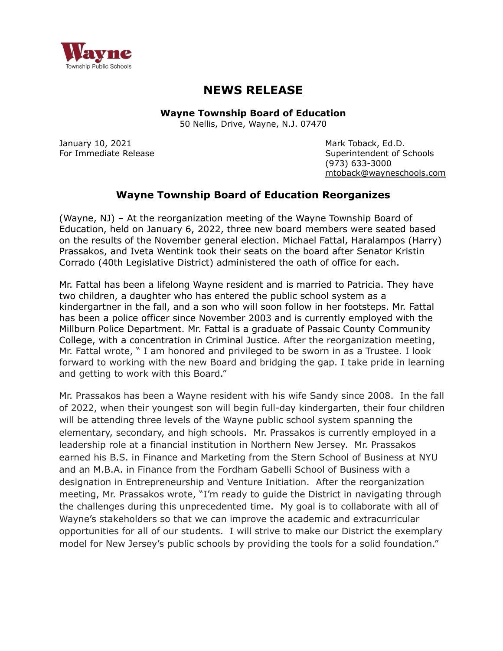

## **NEWS RELEASE**

**Wayne Township Board of Education**

50 Nellis, Drive, Wayne, N.J. 07470

January 10, 2021 **Mark Toback, Ed.D.** Mark Toback, Ed.D.

For Immediate Release Superintendent of Schools (973) 633-3000 [mtoback@wayneschools.com](mailto:mtoback@wayneschools.com)

## **Wayne Township Board of Education Reorganizes**

(Wayne, NJ) – At the reorganization meeting of the Wayne Township Board of Education, held on January 6, 2022, three new board members were seated based on the results of the November general election. Michael Fattal, Haralampos (Harry) Prassakos, and Iveta Wentink took their seats on the board after Senator Kristin Corrado (40th Legislative District) administered the oath of office for each.

Mr. Fattal has been a lifelong Wayne resident and is married to Patricia. They have two children, a daughter who has entered the public school system as a kindergartner in the fall, and a son who will soon follow in her footsteps. Mr. Fattal has been a police officer since November 2003 and is currently employed with the Millburn Police Department. Mr. Fattal is a graduate of Passaic County Community College, with a concentration in Criminal Justice. After the reorganization meeting, Mr. Fattal wrote, " I am honored and privileged to be sworn in as a Trustee. I look forward to working with the new Board and bridging the gap. I take pride in learning and getting to work with this Board."

Mr. Prassakos has been a Wayne resident with his wife Sandy since 2008. In the fall of 2022, when their youngest son will begin full-day kindergarten, their four children will be attending three levels of the Wayne public school system spanning the elementary, secondary, and high schools. Mr. Prassakos is currently employed in a leadership role at a financial institution in Northern New Jersey. Mr. Prassakos earned his B.S. in Finance and Marketing from the Stern School of Business at NYU and an M.B.A. in Finance from the Fordham Gabelli School of Business with a designation in Entrepreneurship and Venture Initiation. After the reorganization meeting, Mr. Prassakos wrote, "I'm ready to guide the District in navigating through the challenges during this unprecedented time. My goal is to collaborate with all of Wayne's stakeholders so that we can improve the academic and extracurricular opportunities for all of our students. I will strive to make our District the exemplary model for New Jersey's public schools by providing the tools for a solid foundation."